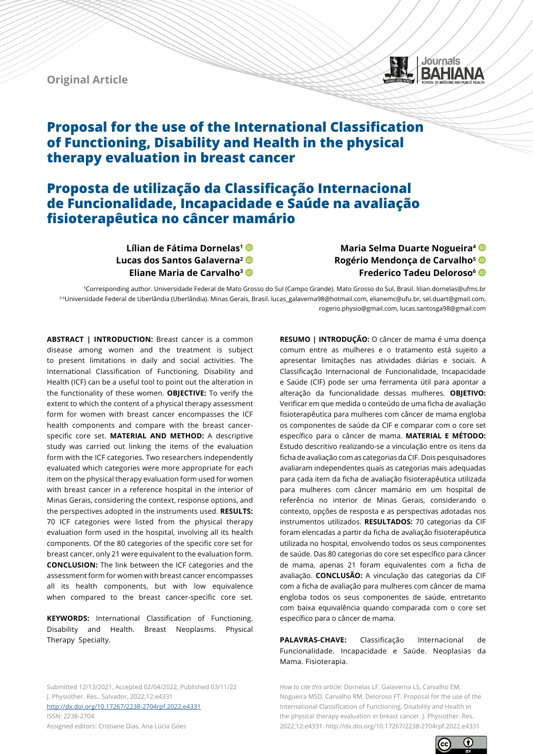**Original Article**



# **Proposal for the use of the International Classification of Functioning, Disability and Health in the physical therapy evaluation in breast cancer**

# **Proposta de utilização da Classificação Internacional de Funcionalidade, Incapacidade e Saúde na avaliação fisioterapêutica no câncer mamário**

**Lílian de Fátima Dornelas1 Lucas dos Santos Galaverna2 Eliane Maria de Carvalho3**

## **Maria Selma Duarte Nogueira4 Rogério Mendonça de Carvalho5 Frederico Tadeu Deloroso6**

<sup>1</sup>Corresponding author. Universidade Federal de Mato Grosso do Sul (Campo Grande). Mato Grosso do Sul, Brasil. lilian.dornelas@ufms.br 2-6Universidade Federal de Uberlândia (Uberlândia). Minas Gerais, Brasil. lucas\_galaverna98@hotmail.com, elianemc@ufu.br, sel.duart@gmail.com, rogerio.physio@gmail.com, lucas.santosga98@gmail.com

**ABSTRACT | INTRODUCTION:** Breast cancer is a common disease among women and the treatment is subject to present limitations in daily and social activities. The International Classification of Functioning, Disability and Health (ICF) can be a useful tool to point out the alteration in the functionality of these women. **OBJECTIVE:** To verify the extent to which the content of a physical therapy assessment form for women with breast cancer encompasses the ICF health components and compare with the breast cancerspecific core set. **MATERIAL AND METHOD:** A descriptive study was carried out linking the items of the evaluation form with the ICF categories. Two researchers independently evaluated which categories were more appropriate for each item on the physical therapy evaluation form used for women with breast cancer in a reference hospital in the interior of Minas Gerais, considering the context, response options, and the perspectives adopted in the instruments used. **RESULTS:** 70 ICF categories were listed from the physical therapy evaluation form used in the hospital, involving all its health components. Of the 80 categories of the specific core set for breast cancer, only 21 were equivalent to the evaluation form. **CONCLUSION:** The link between the ICF categories and the assessment form for women with breast cancer encompasses all its health components, but with low equivalence when compared to the breast cancer-specific core set.

**KEYWORDS:** International Classification of Functioning. Disability and Health. Breast Neoplasms. Physical Therapy Specialty.

Submitted 12/13/2021, Accepted 02/04/2022, Published 03/11/22 J. Physiother. Res., Salvador, 2022;12:e4331 [http://dx.doi.org/](http://dx.doi.org/10.17267/2238-2704rpf.2022.e3474)10.17267/2238-2704rpf.2022.e4331

ISSN: 2238-2704 Assigned editors: Cristiane Dias, Ana Lúcia Góes

**RESUMO | INTRODUÇÃO:** O câncer de mama é uma doença comum entre as mulheres e o tratamento está sujeito a apresentar limitações nas atividades diárias e sociais. A Classificação Internacional de Funcionalidade, Incapacidade e Saúde (CIF) pode ser uma ferramenta útil para apontar a alteração da funcionalidade dessas mulheres. **OBJETIVO:** Verificar em que medida o conteúdo de uma ficha de avaliação fisioterapêutica para mulheres com câncer de mama engloba os componentes de saúde da CIF e comparar com o core set específico para o câncer de mama. **MATERIAL E MÉTODO:** Estudo descritivo realizando-se a vinculação entre os itens da ficha de avaliação com as categorias da CIF. Dois pesquisadores avaliaram independentes quais as categorias mais adequadas para cada item da ficha de avaliação fisioterapêutica utilizada para mulheres com câncer mamário em um hospital de referência no interior de Minas Gerais, considerando o contexto, opções de resposta e as perspectivas adotadas nos instrumentos utilizados. **RESULTADOS:** 70 categorias da CIF foram elencadas a partir da ficha de avaliação fisioterapêutica utilizada no hospital, envolvendo todos os seus componentes de saúde. Das 80 categorias do core set específico para câncer de mama, apenas 21 foram equivalentes com a ficha de avaliação. **CONCLUSÃO:** A vinculação das categorias da CIF com a ficha de avaliação para mulheres com câncer de mama engloba todos os seus componentes de saúde, entretanto com baixa equivalência quando comparada com o core set específico para o câncer de mama.

**PALAVRAS-CHAVE:** Classificação Internacional de Funcionalidade. Incapacidade e Saúde. Neoplasias da Mama. Fisioterapia.

*How to cite this article:* Dornelas LF, Galaverna LS, Carvalho EM, Nogueira MSD, Carvalho RM, Deloroso FT. Proposal for the use of the International Classification of Functioning, Disability and Health in the physical therapy evaluation in breast cancer. J. Physiother. Res. 2022;12:e4331. http://dx.doi.org/10.17267/2238-2704rpf.2022.e4331

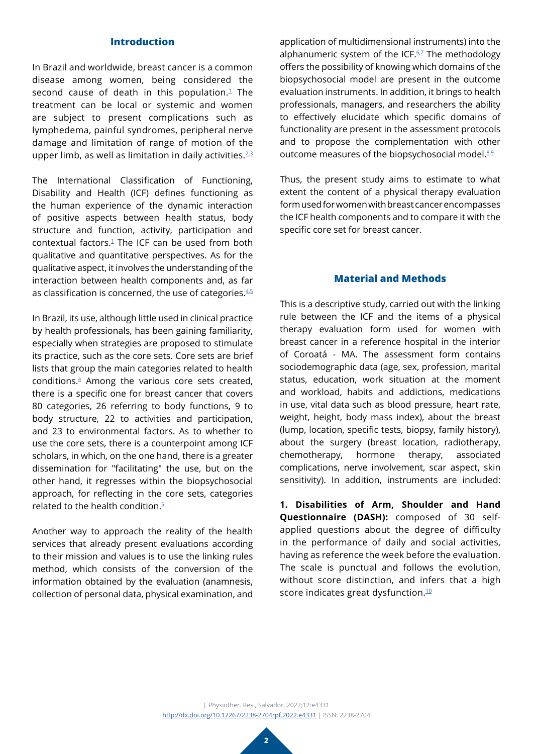## **Introduction**

In Brazil and worldwide, breast cancer is a common disease among women, being considered the second cause of death in this population. $1$  The treatment can be local or systemic and women are subject to present complications such as lymphedema, painful syndromes, peripheral nerve damage and limitation of range of motion of the upper limb, as well as limitation in daily activities. $23$  $23$ 

The International Classification of Functioning, Disability and Health (ICF) defines functioning as the human experience of the dynamic interaction of positive aspects between health status, body structure and function, activity, participation and contextual factors.[1](#page-5-0) The ICF can be used from both qualitative and quantitative perspectives. As for the qualitative aspect, it involves the understanding of the interaction between health components and, as far as classification is concerned, the use of categories. $4.5$  $4.5$ 

In Brazil, its use, although little used in clinical practice by health professionals, has been gaining familiarity, especially when strategies are proposed to stimulate its practice, such as the core sets. Core sets are brief lists that group the main categories related to health conditions.[4](#page-6-1) Among the various core sets created, there is a specific one for breast cancer that covers 80 categories, 26 referring to body functions, 9 to body structure, 22 to activities and participation, and 23 to environmental factors. As to whether to use the core sets, there is a counterpoint among ICF scholars, in which, on the one hand, there is a greater dissemination for "facilitating" the use, but on the other hand, it regresses within the biopsychosocial approach, for reflecting in the core sets, categories related to the health condition. $5$ 

Another way to approach the reality of the health services that already present evaluations according to their mission and values is to use the linking rules method, which consists of the conversion of the information obtained by the evaluation (anamnesis, collection of personal data, physical examination, and

application of multidimensional instruments) into the alphanumeric system of the ICF.<sup>6,[7](#page-6-4)</sup> The methodology offers the possibility of knowing which domains of the biopsychosocial model are present in the outcome evaluation instruments. In addition, it brings to health professionals, managers, and researchers the ability to effectively elucidate which specific domains of functionality are present in the assessment protocols and to propose the complementation with other outcome measures of the biopsychosocial model.<sup>[8](#page-6-5),2</sup>

Thus, the present study aims to estimate to what extent the content of a physical therapy evaluation form used for women with breast cancer encompasses the ICF health components and to compare it with the specific core set for breast cancer.

## **Material and Methods**

This is a descriptive study, carried out with the linking rule between the ICF and the items of a physical therapy evaluation form used for women with breast cancer in a reference hospital in the interior of Coroatá - MA. The assessment form contains sociodemographic data (age, sex, profession, marital status, education, work situation at the moment and workload, habits and addictions, medications in use, vital data such as blood pressure, heart rate, weight, height, body mass index), about the breast (lump, location, specific tests, biopsy, family history), about the surgery (breast location, radiotherapy, chemotherapy, hormone therapy, associated complications, nerve involvement, scar aspect, skin sensitivity). In addition, instruments are included:

**1. Disabilities of Arm, Shoulder and Hand Questionnaire (DASH):** composed of 30 selfapplied questions about the degree of difficulty in the performance of daily and social activities, having as reference the week before the evaluation. The scale is punctual and follows the evolution, without score distinction, and infers that a high score indicates great dysfunction.<sup>[10](#page-6-7)</sup>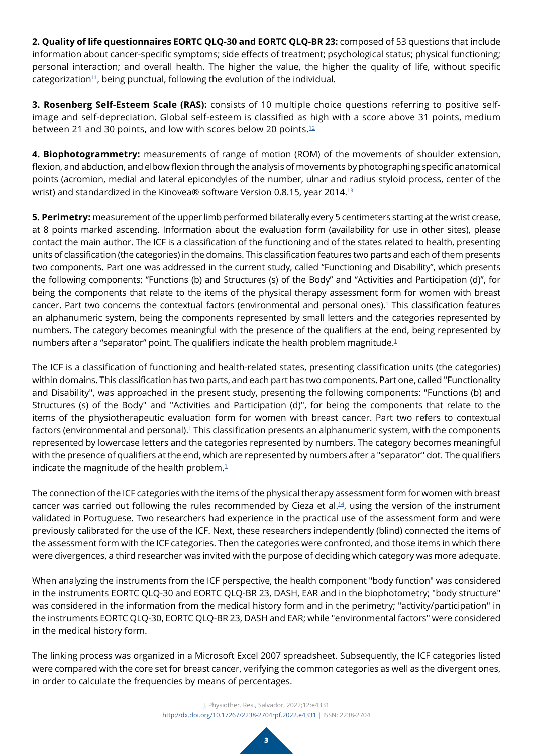**2. Quality of life questionnaires EORTC QLQ-30 and EORTC QLQ-BR 23:** composed of 53 questions that include information about cancer-specific symptoms; side effects of treatment; psychological status; physical functioning; personal interaction; and overall health. The higher the value, the higher the quality of life, without specific categorization<sup>11</sup>, being punctual, following the evolution of the individual.

**3. Rosenberg Self-Esteem Scale (RAS):** consists of 10 multiple choice questions referring to positive selfimage and self-depreciation. Global self-esteem is classified as high with a score above 31 points, medium between 21 and 30 points, and low with scores below 20 points.<sup>12</sup>

**4. Biophotogrammetry:** measurements of range of motion (ROM) of the movements of shoulder extension, flexion, and abduction, and elbow flexion through the analysis of movements by photographing specific anatomical points (acromion, medial and lateral epicondyles of the number, ulnar and radius styloid process, center of the wrist) and standardized in the Kinovea® software Version 0.8.15, year 2014.[13](#page-6-10)

**5. Perimetry:** measurement of the upper limb performed bilaterally every 5 centimeters starting at the wrist crease, at 8 points marked ascending. Information about the evaluation form (availability for use in other sites), please contact the main author. The ICF is a classification of the functioning and of the states related to health, presenting units of classification (the categories) in the domains. This classification features two parts and each of them presents two components. Part one was addressed in the current study, called "Functioning and Disability", which presents the following components: "Functions (b) and Structures (s) of the Body" and "Activities and Participation (d)", for being the components that relate to the items of the physical therapy assessment form for women with breast cancer. Part two concerns the contextual factors (environmental and personal ones).<sup>[1](#page-5-0)</sup> This classification features an alphanumeric system, being the components represented by small letters and the categories represented by numbers. The category becomes meaningful with the presence of the qualifiers at the end, being represented by numbers after a "separator" point. The qualifiers indicate the health problem magnitude[.1](#page-5-0)

The ICF is a classification of functioning and health-related states, presenting classification units (the categories) within domains. This classification has two parts, and each part has two components. Part one, called "Functionality and Disability", was approached in the present study, presenting the following components: "Functions (b) and Structures (s) of the Body" and "Activities and Participation (d)", for being the components that relate to the items of the physiotherapeutic evaluation form for women with breast cancer. Part two refers to contextual factors (environmental and personal).<sup>1</sup> This classification presents an alphanumeric system, with the components represented by lowercase letters and the categories represented by numbers. The category becomes meaningful with the presence of qualifiers at the end, which are represented by numbers after a "separator" dot. The qualifiers indicate the magnitude of the health problem. $1$ 

The connection of the ICF categories with the items of the physical therapy assessment form for women with breast cancer was carried out following the rules recommended by Cieza et al.[14,](#page-6-11) using the version of the instrument validated in Portuguese. Two researchers had experience in the practical use of the assessment form and were previously calibrated for the use of the ICF. Next, these researchers independently (blind) connected the items of the assessment form with the ICF categories. Then the categories were confronted, and those items in which there were divergences, a third researcher was invited with the purpose of deciding which category was more adequate.

When analyzing the instruments from the ICF perspective, the health component "body function" was considered in the instruments EORTC QLQ-30 and EORTC QLQ-BR 23, DASH, EAR and in the biophotometry; "body structure" was considered in the information from the medical history form and in the perimetry; "activity/participation" in the instruments EORTC QLQ-30, EORTC QLQ-BR 23, DASH and EAR; while "environmental factors" were considered in the medical history form.

The linking process was organized in a Microsoft Excel 2007 spreadsheet. Subsequently, the ICF categories listed were compared with the core set for breast cancer, verifying the common categories as well as the divergent ones, in order to calculate the frequencies by means of percentages.

> J. Physiother. Res., Salvador, 2022;12:e4331 [http://dx.doi.org/](http://dx.doi.org/10.17267/2238-2704rpf.2022.e3474)10.17267/2238-2704rpf.2022.e4331 | ISSN: 2238-2704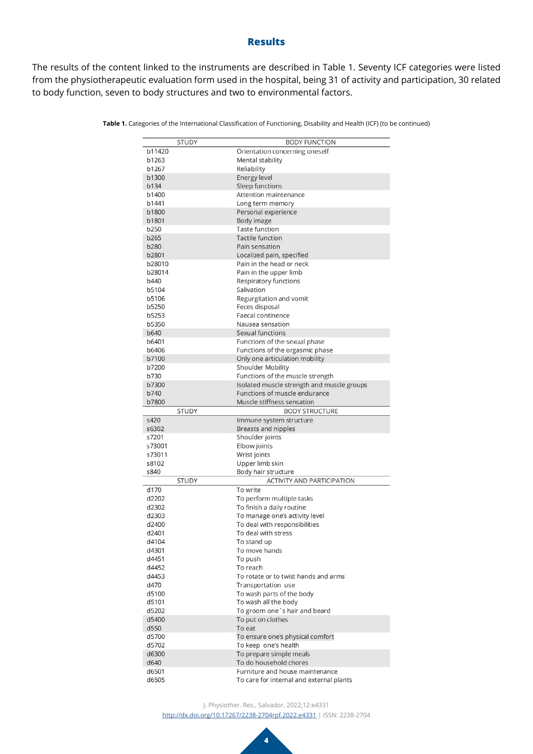### **Results**

The results of the content linked to the instruments are described in Table 1. Seventy ICF categories were listed from the physiotherapeutic evaluation form used in the hospital, being 31 of activity and participation, 30 related to body function, seven to body structures and two to environmental factors.

|              | <b>STUDY</b> | <b>BODY FUNCTION</b>                       |
|--------------|--------------|--------------------------------------------|
| b11420       |              | Orientation concerning oneself             |
| b1263        |              | Mental stability                           |
| b1267        |              | Reliability                                |
| b1300        |              | Energy level                               |
| b134         |              | Sleep functions                            |
| b1400        |              | Attention maintenance                      |
| b1441        |              | Long term memory                           |
| b1800        |              | Personal experience                        |
| b1801        |              | Body image                                 |
| b250         |              | <b>Taste function</b>                      |
| b265         |              | <b>Tactile function</b>                    |
| b280         |              | Pain sensation                             |
| b2801        |              | Localized pain, specified                  |
| b28010       |              | Pain in the head or neck                   |
| b28014       |              | Pain in the upper limb                     |
| b440         |              | Respiratory functions                      |
| b5104        |              | Salivation                                 |
| b5106        |              | Regurgitation and vomit                    |
| b5250        |              | Feces disposal                             |
| b5253        |              | Faecal continence                          |
| b5350        |              | Nausea sensation                           |
| b640         |              | Sexual functions                           |
| b6401        |              | Functions of the sexual phase              |
| b6406        |              | Functions of the orgasmic phase            |
| b7100        |              | Only one articulation mobility             |
| b7200        |              | <b>Shoulder Mobility</b>                   |
| b730         |              | Functions of the muscle strength           |
| b7300        |              | Isolated muscle strength and muscle groups |
| b740         |              | Functions of muscle endurance              |
| <b>b7800</b> |              | Muscle stiffness sensation                 |
|              | <b>STUDY</b> | <b>BODY STRUCTURE</b>                      |
| s420         |              | Immune system structure                    |
| s6302        |              | Breasts and nipples                        |
| s7201        |              | Shoulder joints                            |
| s73001       |              | Elbow joints                               |
| s73011       |              | Wrist joints                               |
| s8102        |              | Upper limb skin                            |
| s840         |              | Body hair structure                        |
|              | <b>STUDY</b> | ACTIVITY AND PARTICIPATION                 |
| d170         |              | To write                                   |
| d2202        |              | To perform multiple tasks                  |
| d2302        |              | To finish a daily routine                  |
| d2303        |              | To manage one's activity level             |
| d2400        |              | To deal with responsibilities              |
| d2401        |              | To deal with stress                        |
| d4104        |              | To stand up                                |
| d4301        |              | To move hands                              |
| d4451        |              | To push                                    |
| d4452        |              | To reach                                   |
| d4453        |              | To rotate or to twist hands and arms       |
| d470         |              | Transportation use                         |
| d5100        |              | To wash parts of the body                  |
| d5101        |              | To wash all the body                       |
| d5202        |              | To groom one's hair and beard              |
| d5400        |              | To put on clothes                          |
| d550         |              | To eat                                     |
| d5700        |              | To ensure one's physical comfort           |
| d5702        |              | To keep one's health                       |
| d6300        |              | To prepare simple meals                    |
| d640         |              | To do household chores                     |
| d6501        |              | Furniture and house maintenance            |
| d6505        |              | To care for internal and external plants   |

**Table 1.** Categories of the International Classification of Functioning, Disability and Health (ICF) (to be continued)

J. Physiother. Res., Salvador, 2022;12:e4331

[http://dx.doi.org/](http://dx.doi.org/10.17267/2238-2704rpf.2022.e3474)10.17267/2238-2704rpf.2022.e4331 | ISSN: 2238-2704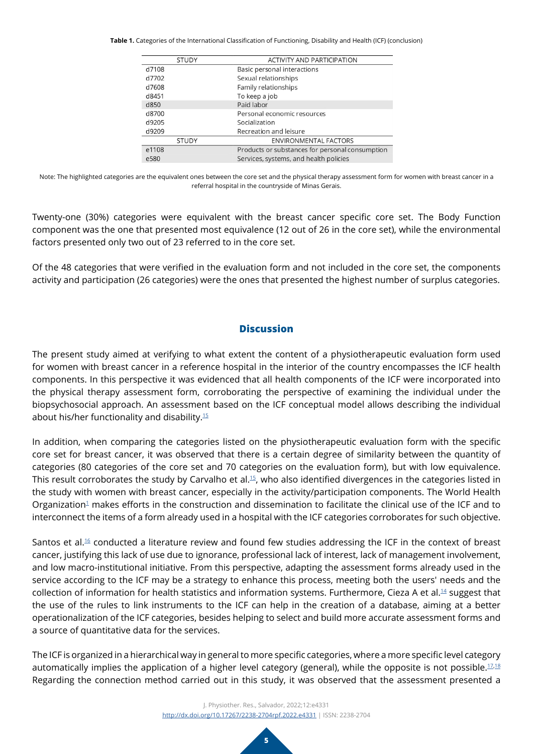**Table 1.** Categories of the International Classification of Functioning, Disability and Health (ICF) (conclusion)

| <b>ACTIVITY AND PARTICIPATION</b>               |
|-------------------------------------------------|
| Basic personal interactions                     |
| Sexual relationships                            |
| Family relationships                            |
| To keep a job                                   |
| Paid labor                                      |
| Personal economic resources                     |
| Socialization                                   |
| Recreation and leisure                          |
| ENVIRONMENTAL FACTORS                           |
| Products or substances for personal consumption |
| Services, systems, and health policies          |
|                                                 |

Note: The highlighted categories are the equivalent ones between the core set and the physical therapy assessment form for women with breast cancer in a referral hospital in the countryside of Minas Gerais.

Twenty-one (30%) categories were equivalent with the breast cancer specific core set. The Body Function component was the one that presented most equivalence (12 out of 26 in the core set), while the environmental factors presented only two out of 23 referred to in the core set.

Of the 48 categories that were verified in the evaluation form and not included in the core set, the components activity and participation (26 categories) were the ones that presented the highest number of surplus categories.

# **Discussion**

The present study aimed at verifying to what extent the content of a physiotherapeutic evaluation form used for women with breast cancer in a reference hospital in the interior of the country encompasses the ICF health components. In this perspective it was evidenced that all health components of the ICF were incorporated into the physical therapy assessment form, corroborating the perspective of examining the individual under the biopsychosocial approach. An assessment based on the ICF conceptual model allows describing the individual about his/her functionality and disability[.15](#page-6-12)

In addition, when comparing the categories listed on the physiotherapeutic evaluation form with the specific core set for breast cancer, it was observed that there is a certain degree of similarity between the quantity of categories (80 categories of the core set and 70 categories on the evaluation form), but with low equivalence. This result corroborates the study by Carvalho et al.<sup>15</sup>, who also identified divergences in the categories listed in the study with women with breast cancer, especially in the activity/participation components. The World Health Organization<sup>[1](#page-5-0)</sup> makes efforts in the construction and dissemination to facilitate the clinical use of the ICF and to interconnect the items of a form already used in a hospital with the ICF categories corroborates for such objective.

Santos et al.<sup>16</sup> conducted a literature review and found few studies addressing the ICF in the context of breast cancer, justifying this lack of use due to ignorance, professional lack of interest, lack of management involvement, and low macro-institutional initiative. From this perspective, adapting the assessment forms already used in the service according to the ICF may be a strategy to enhance this process, meeting both the users' needs and the collection of information for health statistics and information systems. Furthermore, Cieza A et al.<sup>14</sup> suggest that the use of the rules to link instruments to the ICF can help in the creation of a database, aiming at a better operationalization of the ICF categories, besides helping to select and build more accurate assessment forms and a source of quantitative data for the services.

The ICF is organized in a hierarchical way in general to more specific categories, where a more specific level category automatically implies the application of a higher level category (general), while the opposite is not possible. $17,18$  $17,18$  $17,18$ Regarding the connection method carried out in this study, it was observed that the assessment presented a

> J. Physiother. Res., Salvador, 2022;12:e4331 [http://dx.doi.org/](http://dx.doi.org/10.17267/2238-2704rpf.2022.e3474)10.17267/2238-2704rpf.2022.e4331 | ISSN: 2238-2704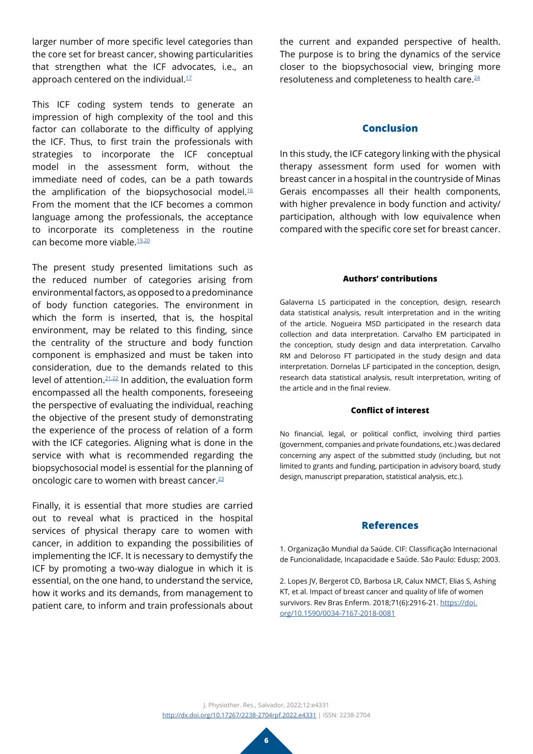larger number of more specific level categories than the core set for breast cancer, showing particularities that strengthen what the ICF advocates, i.e., an approach centered on the individual. $1/17$  $1/17$ 

This ICF coding system tends to generate an impression of high complexity of the tool and this factor can collaborate to the difficulty of applying the ICF. Thus, to first train the professionals with strategies to incorporate the ICF conceptual model in the assessment form, without the immediate need of codes, can be a path towards the amplification of the biopsychosocial model. $16$ From the moment that the ICF becomes a common language among the professionals, the acceptance to incorporate its completeness in the routine can become more viable.[19](#page-6-16),[20](#page-6-17)

The present study presented limitations such as the reduced number of categories arising from environmental factors, as opposed to a predominance of body function categories. The environment in which the form is inserted, that is, the hospital environment, may be related to this finding, since the centrality of the structure and body function component is emphasized and must be taken into consideration, due to the demands related to this level of attention[.21](#page-7-0),[22](#page-7-1) In addition, the evaluation form encompassed all the health components, foreseeing the perspective of evaluating the individual, reaching the objective of the present study of demonstrating the experience of the process of relation of a form with the ICF categories. Aligning what is done in the service with what is recommended regarding the biopsychosocial model is essential for the planning of oncologic care to women with breast cancer.<sup>[23](#page-7-2)</sup>

Finally, it is essential that more studies are carried out to reveal what is practiced in the hospital services of physical therapy care to women with cancer, in addition to expanding the possibilities of implementing the ICF. It is necessary to demystify the ICF by promoting a two-way dialogue in which it is essential, on the one hand, to understand the service, how it works and its demands, from management to patient care, to inform and train professionals about

the current and expanded perspective of health. The purpose is to bring the dynamics of the service closer to the biopsychosocial view, bringing more resoluteness and completeness to health care.<sup>[24](#page-7-3)</sup>

### **Conclusion**

In this study, the ICF category linking with the physical therapy assessment form used for women with breast cancer in a hospital in the countryside of Minas Gerais encompasses all their health components, with higher prevalence in body function and activity/ participation, although with low equivalence when compared with the specific core set for breast cancer.

#### **Authors' contributions**

Galaverna LS participated in the conception, design, research data statistical analysis, result interpretation and in the writing of the article. Nogueira MSD participated in the research data collection and data interpretation. Carvalho EM participated in the conception, study design and data interpretation. Carvalho RM and Deloroso FT participated in the study design and data interpretation. Dornelas LF participated in the conception, design, research data statistical analysis, result interpretation, writing of the article and in the final review.

### **Conflict of interest**

No financial, legal, or political conflict, involving third parties (government, companies and private foundations, etc.) was declared concerning any aspect of the submitted study (including, but not limited to grants and funding, participation in advisory board, study design, manuscript preparation, statistical analysis, etc.).

### **References**

<span id="page-5-0"></span>1. Organização Mundial da Saúde. CIF: Classificação Internacional de Funcionalidade, Incapacidade e Saúde. São Paulo: Edusp; 2003.

<span id="page-5-1"></span>2. Lopes JV, Bergerot CD, Barbosa LR, Calux NMCT, Elias S, Ashing KT, et al. Impact of breast cancer and quality of life of women survivors. Rev Bras Enferm. 2018;71(6):2916-21. [https://doi.](https://www.scielo.br/j/reben/a/fDdnNZSczjttnvBDcRrPQFq/?lang=en) [org/10.1590/0034-7167-2018-0081](https://www.scielo.br/j/reben/a/fDdnNZSczjttnvBDcRrPQFq/?lang=en)

J. Physiother. Res., Salvador, 2022;12:e4331 [http://dx.doi.org/](http://dx.doi.org/10.17267/2238-2704rpf.2022.e3474)10.17267/2238-2704rpf.2022.e4331 | ISSN: 2238-2704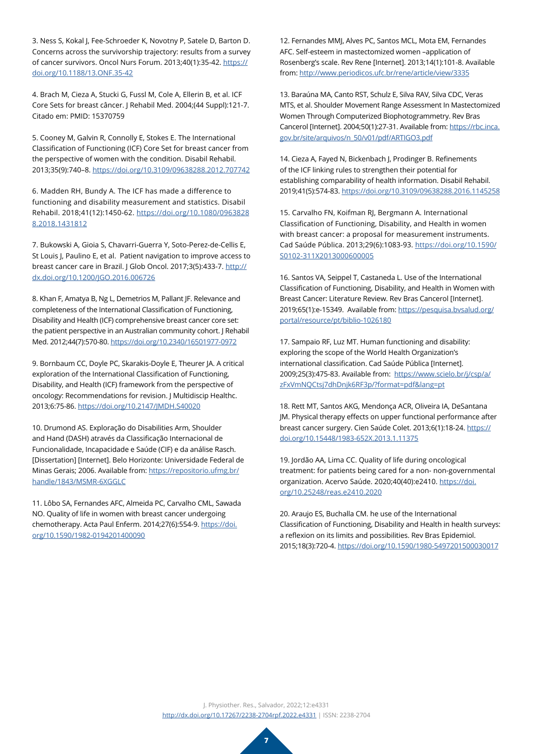<span id="page-6-0"></span>3. Ness S, Kokal J, Fee-Schroeder K, Novotny P, Satele D, Barton D. Concerns across the survivorship trajectory: results from a survey of cancer survivors. Oncol Nurs Forum. 2013;40(1):35-42. [https://](https://onf.ons.org/onf/40/1/concerns-across-survivorship-trajectory-results-survey-cancer-survivors) [doi.org/10.1188/13.ONF.35-42](https://onf.ons.org/onf/40/1/concerns-across-survivorship-trajectory-results-survey-cancer-survivors)

<span id="page-6-1"></span>4. Brach M, Cieza A, Stucki G, Fussl M, Cole A, Ellerin B, et al. ICF Core Sets for breast câncer. J Rehabil Med. 2004;(44 Suppl):121-7. Citado em: PMID: 15370759

<span id="page-6-2"></span>5. Cooney M, Galvin R, Connolly E, Stokes E. The International Classification of Functioning (ICF) Core Set for breast cancer from the perspective of women with the condition. Disabil Rehabil. 2013;35(9):740–8. [https://doi.org/10.3109/09638288.2012.707742](https://www.tandfonline.com/doi/full/10.3109/09638288.2012.707742)

<span id="page-6-3"></span>6. Madden RH, Bundy A. The ICF has made a difference to functioning and disability measurement and statistics. Disabil Rehabil. 2018;41(12):1450-62. [https://doi.org/10.1080/0963828](https://www.tandfonline.com/doi/full/10.1080/09638288.2018.1431812) [8.2018.1431812](https://www.tandfonline.com/doi/full/10.1080/09638288.2018.1431812)

<span id="page-6-4"></span>7. Bukowski A, Gioia S, Chavarri-Guerra Y, Soto-Perez-de-Cellis E, St Louis J, Paulino E, et al. Patient navigation to improve access to breast cancer care in Brazil. J Glob Oncol. 2017;3(5):433-7. [http://](https://ascopubs.org/doi/10.1200/JGO.2016.006726) [dx.doi.org/10.1200/JGO.2016.006726](https://ascopubs.org/doi/10.1200/JGO.2016.006726)

<span id="page-6-5"></span>8. Khan F, Amatya B, Ng L, Demetrios M, Pallant JF. Relevance and completeness of the International Classification of Functioning, Disability and Health (ICF) comprehensive breast cancer core set: the patient perspective in an Australian community cohort. J Rehabil Med. 2012;44(7):570-80. [https://doi.org/10.2340/16501977-0972](https://www.medicaljournals.se/jrm/content/abstract/10.2340/16501977-0972)

<span id="page-6-6"></span>9. Bornbaum CC, Doyle PC, Skarakis-Doyle E, Theurer JA. A critical exploration of the International Classification of Functioning, Disability, and Health (ICF) framework from the perspective of oncology: Recommendations for revision. J Multidiscip Healthc. 2013;6:75-86. [https://doi.org/10.2147/JMDH.S40020](https://www.dovepress.com/a-critical-exploration-of-the-international-classification-of-function-peer-reviewed-fulltext-article-JMDH)

<span id="page-6-7"></span>10. Drumond AS. Exploração do Disabilities Arm, Shoulder and Hand (DASH) através da Classificação Internacional de Funcionalidade, Incapacidade e Saúde (CIF) e da análise Rasch. [Dissertation] [Internet]. Belo Horizonte: Universidade Federal de Minas Gerais; 2006. Available from: [https://repositorio.ufmg.br/](https://repositorio.ufmg.br/handle/1843/MSMR-6XGGLC) [handle/1843/MSMR-6XGGLC](https://repositorio.ufmg.br/handle/1843/MSMR-6XGGLC)

<span id="page-6-8"></span>11. Lôbo SA, Fernandes AFC, Almeida PC, Carvalho CML, Sawada NO. Quality of life in women with breast cancer undergoing chemotherapy. Acta Paul Enferm. 2014;27(6):554-9. [https://doi.](https://www.scielo.br/j/ape/a/6qQyKB4LcHMXdxQYRgJV9pM/?lang=pt) [org/10.1590/1982-0194201400090](https://www.scielo.br/j/ape/a/6qQyKB4LcHMXdxQYRgJV9pM/?lang=pt)

<span id="page-6-9"></span>12. Fernandes MMJ, Alves PC, Santos MCL, Mota EM, Fernandes AFC. Self-esteem in mastectomized women –application of Rosenberg's scale. Rev Rene [Internet]. 2013;14(1):101-8. Available from: <http://www.periodicos.ufc.br/rene/article/view/3335>

<span id="page-6-10"></span>13. Baraúna MA, Canto RST, Schulz E, Silva RAV, Silva CDC, Veras MTS, et al. Shoulder Movement Range Assessment In Mastectomized Women Through Computerized Biophotogrammetry. Rev Bras Cancerol [Internet]. 2004;50(1):27-31. Available from: [https://rbc.inca.](https://rbc.inca.gov.br/revista/index.php/revista/article/view/2053/1271) [gov.br/site/arquivos/n\\_50/v01/pdf/ARTIGO3.pdf](https://rbc.inca.gov.br/revista/index.php/revista/article/view/2053/1271)

<span id="page-6-11"></span>14. Cieza A, Fayed N, Bickenbach J, Prodinger B. Refinements of the ICF linking rules to strengthen their potential for establishing comparability of health information. Disabil Rehabil. 2019;41(5):574-83. [https://doi.org/10.3109/09638288.2016.1145258](https://www.tandfonline.com/doi/full/10.3109/09638288.2016.1145258)

<span id="page-6-12"></span>15. Carvalho FN, Koifman RJ, Bergmann A. International Classification of Functioning, Disability, and Health in women with breast cancer: a proposal for measurement instruments. Cad Saúde Pública. 2013;29(6):1083-93. [https://doi.org/10.1590/](https://www.scielo.br/j/csp/a/LV6SNzBwDMm5XJjnX3kq9cm/?lang=en) [S0102-311X2013000600005](https://www.scielo.br/j/csp/a/LV6SNzBwDMm5XJjnX3kq9cm/?lang=en)

<span id="page-6-13"></span>16. Santos VA, Seippel T, Castaneda L. Use of the International Classification of Functioning, Disability, and Health in Women with Breast Cancer: Literature Review. Rev Bras Cancerol [Internet]. 2019;65(1):e-15349. Available from: [https://pesquisa.bvsalud.org/](https://pesquisa.bvsalud.org/portal/resource/pt/biblio-1026180) [portal/resource/pt/biblio-1026180](https://pesquisa.bvsalud.org/portal/resource/pt/biblio-1026180)

<span id="page-6-14"></span>17. Sampaio RF, Luz MT. Human functioning and disability: exploring the scope of the World Health Organization's international classification. Cad Saúde Pública [Internet]. 2009;25(3):475-83. Available from: [https://www.scielo.br/j/csp/a/](https://www.scielo.br/j/csp/a/zFxVmNQCtsj7dhDnjk6RF3p/?format=pdf&lang=pt) [zFxVmNQCtsj7dhDnjk6RF3p/?format=pdf&lang=pt](https://www.scielo.br/j/csp/a/zFxVmNQCtsj7dhDnjk6RF3p/?format=pdf&lang=pt)

<span id="page-6-15"></span>18. Rett MT, Santos AKG, Mendonça ACR, Oliveira IA, DeSantana JM. Physical therapy effects on upper functional performance after breast cancer surgery. Cien Saúde Colet. 2013;6(1):18-24. [https://](https://www.scielo.br/j/csp/a/zFxVmNQCtsj7dhDnjk6RF3p/?format=pdf&lang=pt) [doi.org/10.15448/1983-652X.2013.1.11375](https://www.scielo.br/j/csp/a/zFxVmNQCtsj7dhDnjk6RF3p/?format=pdf&lang=pt)

<span id="page-6-16"></span>19. Jordão AA, Lima CC. Quality of life during oncological treatment: for patients being cared for a non- non-governmental organization. Acervo Saúde. 2020;40(40):e2410. [https://doi.](https://acervomais.com.br/index.php/saude/article/view/2410) [org/10.25248/reas.e2410.2020](https://acervomais.com.br/index.php/saude/article/view/2410)

<span id="page-6-17"></span>20. Araujo ES, Buchalla CM. he use of the International Classification of Functioning, Disability and Health in health surveys: a reflexion on its limits and possibilities. Rev Bras Epidemiol. 2015;18(3):720-4. [https://doi.org/10.1590/1980-5497201500030017](https://www.scielo.br/j/rbepid/a/vwphyJrs5Qt5nwshjYZ5ttd/?lang=en)